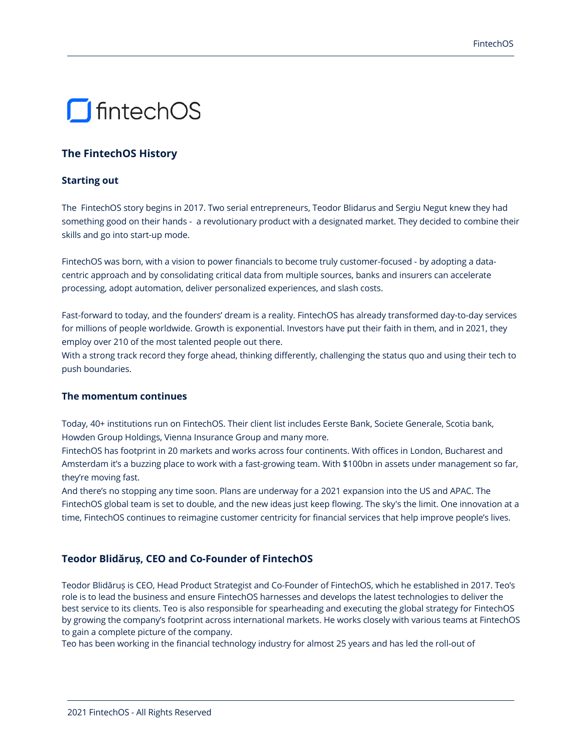# **S** fintechOS

# **The FintechOS History**

## **Starting out**

The FintechOS story begins in 2017. Two serial entrepreneurs, Teodor Blidarus and Sergiu Negut knew they had something good on their hands - a revolutionary product with a designated market. They decided to combine their skills and go into start-up mode.

FintechOS was born, with a vision to power financials to become truly customer-focused - by adopting a datacentric approach and by consolidating critical data from multiple sources, banks and insurers can accelerate processing, adopt automation, deliver personalized experiences, and slash costs.

Fast-forward to today, and the founders' dream is a reality. FintechOS has already transformed day-to-day services for millions of people worldwide. Growth is exponential. Investors have put their faith in them, and in 2021, they employ over 210 of the most talented people out there.

With a strong track record they forge ahead, thinking differently, challenging the status quo and using their tech to push boundaries.

#### **The momentum continues**

Today, 40+ institutions run on FintechOS. Their client list includes Eerste Bank, Societe Generale, Scotia bank, Howden Group Holdings, Vienna Insurance Group and many more.

FintechOS has footprint in 20 markets and works across four continents. With offices in London, Bucharest and Amsterdam it's a buzzing place to work with a fast-growing team. With \$100bn in assets under management so far, they're moving fast.

And there's no stopping any time soon. Plans are underway for a 2021 expansion into the US and APAC. The FintechOS global team is set to double, and the new ideas just keep flowing. The sky's the limit. One innovation at a time, FintechOS continues to reimagine customer centricity for financial services that help improve people's lives.

## **Teodor Blidăruș, CEO and Co-Founder of FintechOS**

Teodor Blidăruș is CEO, Head Product Strategist and Co-Founder of FintechOS, which he established in 2017. Teo's role is to lead the business and ensure FintechOS harnesses and develops the latest technologies to deliver the best service to its clients. Teo is also responsible for spearheading and executing the global strategy for FintechOS by growing the company's footprint across international markets. He works closely with various teams at FintechOS to gain a complete picture of the company.

Teo has been working in the financial technology industry for almost 25 years and has led the roll-out of